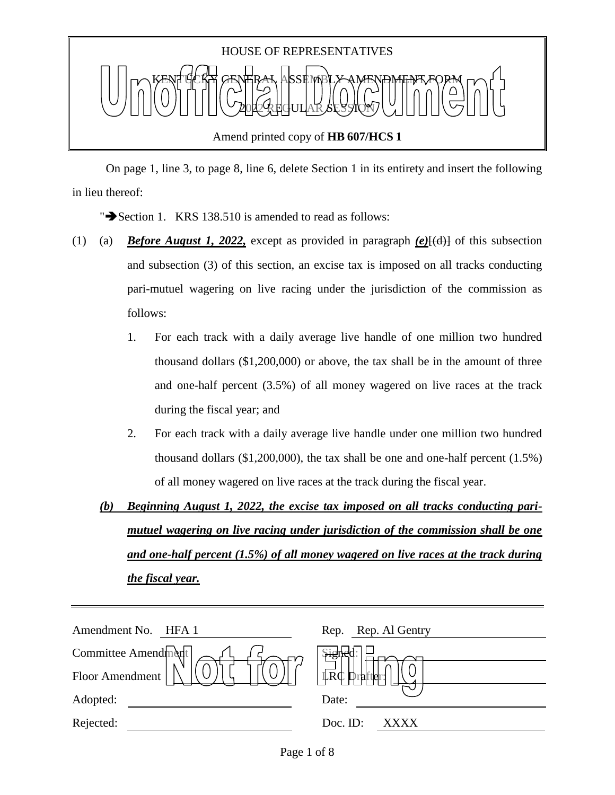

 On page 1, line 3, to page 8, line 6, delete Section 1 in its entirety and insert the following in lieu thereof:

" $\rightarrow$  Section 1. KRS 138.510 is amended to read as follows:

- (1) (a) *Before August 1, 2022,* except as provided in paragraph *(e)*[(d)] of this subsection and subsection (3) of this section, an excise tax is imposed on all tracks conducting pari-mutuel wagering on live racing under the jurisdiction of the commission as follows:
	- 1. For each track with a daily average live handle of one million two hundred thousand dollars (\$1,200,000) or above, the tax shall be in the amount of three and one-half percent (3.5%) of all money wagered on live races at the track during the fiscal year; and
	- 2. For each track with a daily average live handle under one million two hundred thousand dollars (\$1,200,000), the tax shall be one and one-half percent (1.5%) of all money wagered on live races at the track during the fiscal year.
	- *(b) Beginning August 1, 2022, the excise tax imposed on all tracks conducting parimutuel wagering on live racing under jurisdiction of the commission shall be one and one-half percent (1.5%) of all money wagered on live races at the track during the fiscal year.*

| Amendment No.<br>HFA 1 | Rep. Rep. Al Gentry   |
|------------------------|-----------------------|
| Committee Amendment    | بهند                  |
| Floor Amendment        | <b>LRC</b><br>unafter |
| Adopted:               | Date:                 |
| Rejected:              | Doc. ID:<br>XXXX      |
|                        |                       |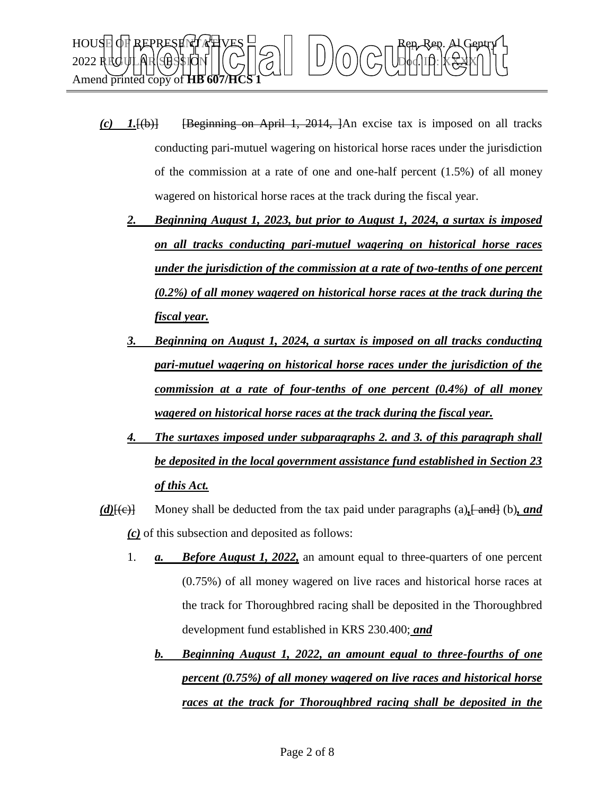

- *(c) 1.*[(b)] [Beginning on April 1, 2014, ]An excise tax is imposed on all tracks conducting pari-mutuel wagering on historical horse races under the jurisdiction of the commission at a rate of one and one-half percent (1.5%) of all money wagered on historical horse races at the track during the fiscal year.
	- *2. Beginning August 1, 2023, but prior to August 1, 2024, a surtax is imposed on all tracks conducting pari-mutuel wagering on historical horse races under the jurisdiction of the commission at a rate of two-tenths of one percent (0.2%) of all money wagered on historical horse races at the track during the fiscal year.*
	- *3. Beginning on August 1, 2024, a surtax is imposed on all tracks conducting pari-mutuel wagering on historical horse races under the jurisdiction of the commission at a rate of four-tenths of one percent (0.4%) of all money wagered on historical horse races at the track during the fiscal year.*
	- *4. The surtaxes imposed under subparagraphs 2. and 3. of this paragraph shall be deposited in the local government assistance fund established in Section 23 of this Act.*
- *(d)*[(e)] Money shall be deducted from the tax paid under paragraphs (a)<sub>1</sub> [ and ] (b), and *(c)* of this subsection and deposited as follows:
	- 1. *a. Before August 1, 2022,* an amount equal to three-quarters of one percent (0.75%) of all money wagered on live races and historical horse races at the track for Thoroughbred racing shall be deposited in the Thoroughbred development fund established in KRS 230.400; *and*
		- *b. Beginning August 1, 2022, an amount equal to three-fourths of one percent (0.75%) of all money wagered on live races and historical horse races at the track for Thoroughbred racing shall be deposited in the*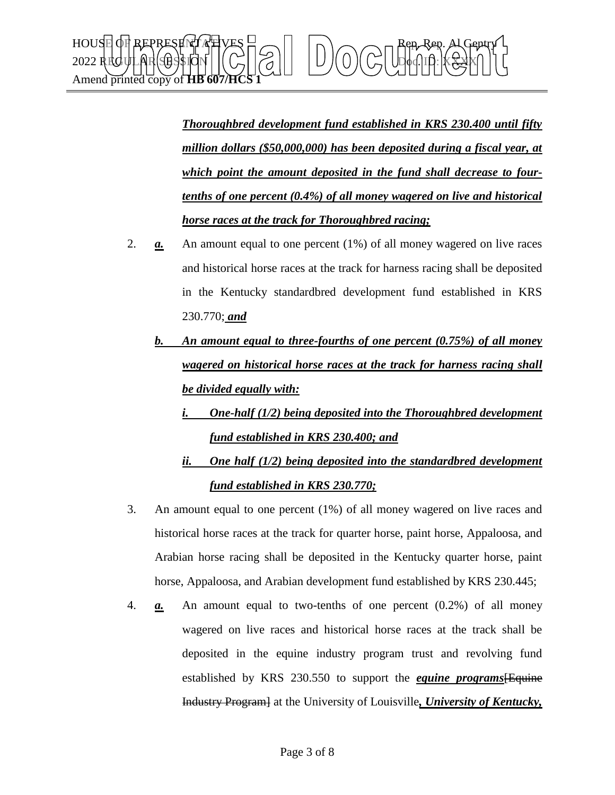

*Thoroughbred development fund established in KRS 230.400 until fifty million dollars (\$50,000,000) has been deposited during a fiscal year, at which point the amount deposited in the fund shall decrease to fourtenths of one percent (0.4%) of all money wagered on live and historical horse races at the track for Thoroughbred racing;*

- 2. *a.* An amount equal to one percent (1%) of all money wagered on live races and historical horse races at the track for harness racing shall be deposited in the Kentucky standardbred development fund established in KRS 230.770; *and*
	- *b. An amount equal to three-fourths of one percent (0.75%) of all money wagered on historical horse races at the track for harness racing shall be divided equally with:*
		- *i. One-half (1/2) being deposited into the Thoroughbred development fund established in KRS 230.400; and*
		- *ii. One half (1/2) being deposited into the standardbred development fund established in KRS 230.770;*
- 3. An amount equal to one percent (1%) of all money wagered on live races and historical horse races at the track for quarter horse, paint horse, Appaloosa, and Arabian horse racing shall be deposited in the Kentucky quarter horse, paint horse, Appaloosa, and Arabian development fund established by KRS 230.445;
- 4. *a.* An amount equal to two-tenths of one percent (0.2%) of all money wagered on live races and historical horse races at the track shall be deposited in the equine industry program trust and revolving fund established by KRS 230.550 to support the *equine programs*[Equine Industry Program] at the University of Louisville*, University of Kentucky,*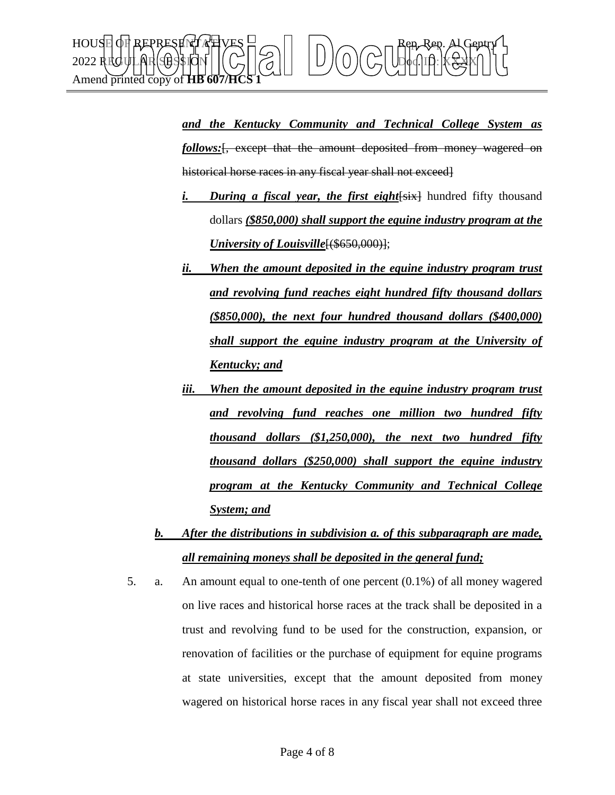

*and the Kentucky Community and Technical College System as*  follows: [, except that the amount deposited from money wagered on historical horse races in any fiscal year shall not exceed.

- *i. During a fiscal year, the first eight*  $\frac{1}{15}$  hundred fifty thousand dollars *(\$850,000) shall support the equine industry program at the University of Louisville*<sup>[(\$650,000)];</sup>
- *ii. When the amount deposited in the equine industry program trust and revolving fund reaches eight hundred fifty thousand dollars (\$850,000), the next four hundred thousand dollars (\$400,000) shall support the equine industry program at the University of Kentucky; and*
- *iii. When the amount deposited in the equine industry program trust and revolving fund reaches one million two hundred fifty thousand dollars (\$1,250,000), the next two hundred fifty thousand dollars (\$250,000) shall support the equine industry program at the Kentucky Community and Technical College System; and*
- *b. After the distributions in subdivision a. of this subparagraph are made, all remaining moneys shall be deposited in the general fund;*
- 5. a. An amount equal to one-tenth of one percent (0.1%) of all money wagered on live races and historical horse races at the track shall be deposited in a trust and revolving fund to be used for the construction, expansion, or renovation of facilities or the purchase of equipment for equine programs at state universities, except that the amount deposited from money wagered on historical horse races in any fiscal year shall not exceed three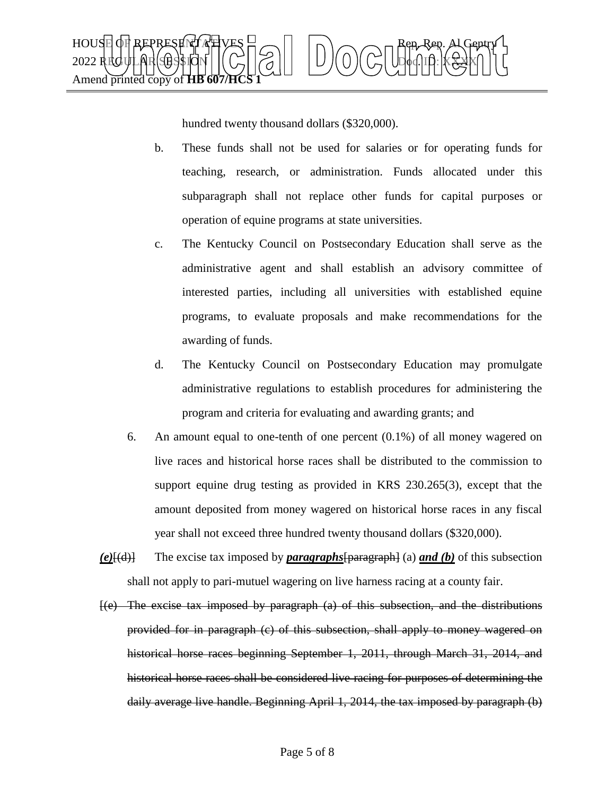

hundred twenty thousand dollars (\$320,000).

- b. These funds shall not be used for salaries or for operating funds for teaching, research, or administration. Funds allocated under this subparagraph shall not replace other funds for capital purposes or operation of equine programs at state universities.
- c. The Kentucky Council on Postsecondary Education shall serve as the administrative agent and shall establish an advisory committee of interested parties, including all universities with established equine programs, to evaluate proposals and make recommendations for the awarding of funds.
- d. The Kentucky Council on Postsecondary Education may promulgate administrative regulations to establish procedures for administering the program and criteria for evaluating and awarding grants; and
- 6. An amount equal to one-tenth of one percent (0.1%) of all money wagered on live races and historical horse races shall be distributed to the commission to support equine drug testing as provided in KRS 230.265(3), except that the amount deposited from money wagered on historical horse races in any fiscal year shall not exceed three hundred twenty thousand dollars (\$320,000).
- *(e)*[(d)] The excise tax imposed by *paragraphs*[paragraph] (a) *and (b)* of this subsection shall not apply to pari-mutuel wagering on live harness racing at a county fair.
- [(e) The excise tax imposed by paragraph (a) of this subsection, and the distributions provided for in paragraph (c) of this subsection, shall apply to money wagered on historical horse races beginning September 1, 2011, through March 31, 2014, and historical horse races shall be considered live racing for purposes of determining the daily average live handle. Beginning April 1, 2014, the tax imposed by paragraph (b)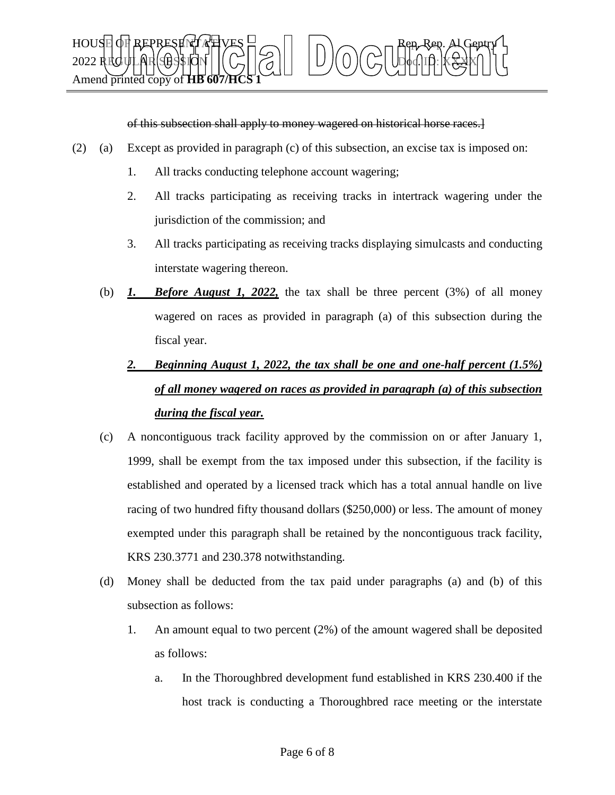

of this subsection shall apply to money wagered on historical horse races.]

- (2) (a) Except as provided in paragraph (c) of this subsection, an excise tax is imposed on:
	- 1. All tracks conducting telephone account wagering;
	- 2. All tracks participating as receiving tracks in intertrack wagering under the jurisdiction of the commission; and
	- 3. All tracks participating as receiving tracks displaying simulcasts and conducting interstate wagering thereon.
	- (b) *1. Before August 1, 2022,* the tax shall be three percent (3%) of all money wagered on races as provided in paragraph (a) of this subsection during the fiscal year.

## *2. Beginning August 1, 2022, the tax shall be one and one-half percent (1.5%) of all money wagered on races as provided in paragraph (a) of this subsection during the fiscal year.*

- (c) A noncontiguous track facility approved by the commission on or after January 1, 1999, shall be exempt from the tax imposed under this subsection, if the facility is established and operated by a licensed track which has a total annual handle on live racing of two hundred fifty thousand dollars (\$250,000) or less. The amount of money exempted under this paragraph shall be retained by the noncontiguous track facility, KRS 230.3771 and 230.378 notwithstanding.
- (d) Money shall be deducted from the tax paid under paragraphs (a) and (b) of this subsection as follows:
	- 1. An amount equal to two percent (2%) of the amount wagered shall be deposited as follows:
		- a. In the Thoroughbred development fund established in KRS 230.400 if the host track is conducting a Thoroughbred race meeting or the interstate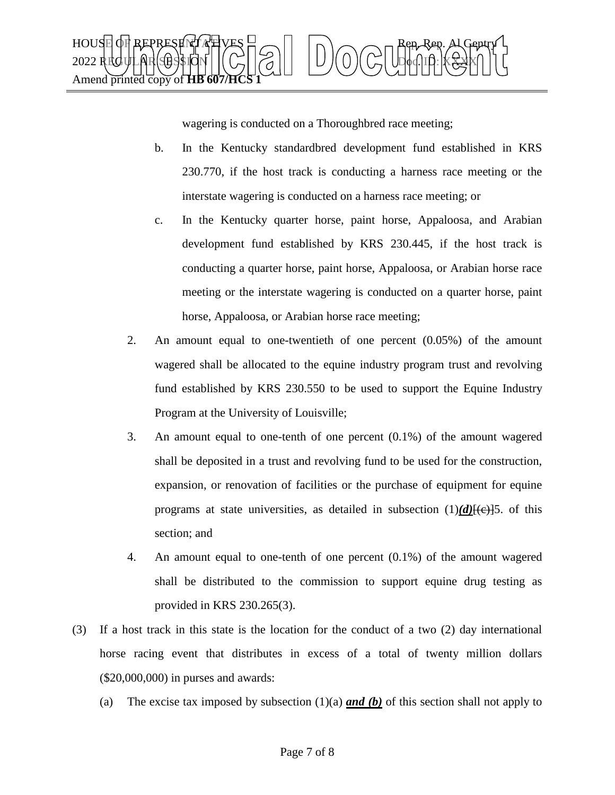

wagering is conducted on a Thoroughbred race meeting;

- b. In the Kentucky standardbred development fund established in KRS 230.770, if the host track is conducting a harness race meeting or the interstate wagering is conducted on a harness race meeting; or
- c. In the Kentucky quarter horse, paint horse, Appaloosa, and Arabian development fund established by KRS 230.445, if the host track is conducting a quarter horse, paint horse, Appaloosa, or Arabian horse race meeting or the interstate wagering is conducted on a quarter horse, paint horse, Appaloosa, or Arabian horse race meeting;
- 2. An amount equal to one-twentieth of one percent (0.05%) of the amount wagered shall be allocated to the equine industry program trust and revolving fund established by KRS 230.550 to be used to support the Equine Industry Program at the University of Louisville;
- 3. An amount equal to one-tenth of one percent (0.1%) of the amount wagered shall be deposited in a trust and revolving fund to be used for the construction, expansion, or renovation of facilities or the purchase of equipment for equine programs at state universities, as detailed in subsection  $(1)(d)$ [ $(e)$ ]5. of this section; and
- 4. An amount equal to one-tenth of one percent (0.1%) of the amount wagered shall be distributed to the commission to support equine drug testing as provided in KRS 230.265(3).
- (3) If a host track in this state is the location for the conduct of a two (2) day international horse racing event that distributes in excess of a total of twenty million dollars (\$20,000,000) in purses and awards:
	- (a) The excise tax imposed by subsection (1)(a) *and (b)* of this section shall not apply to